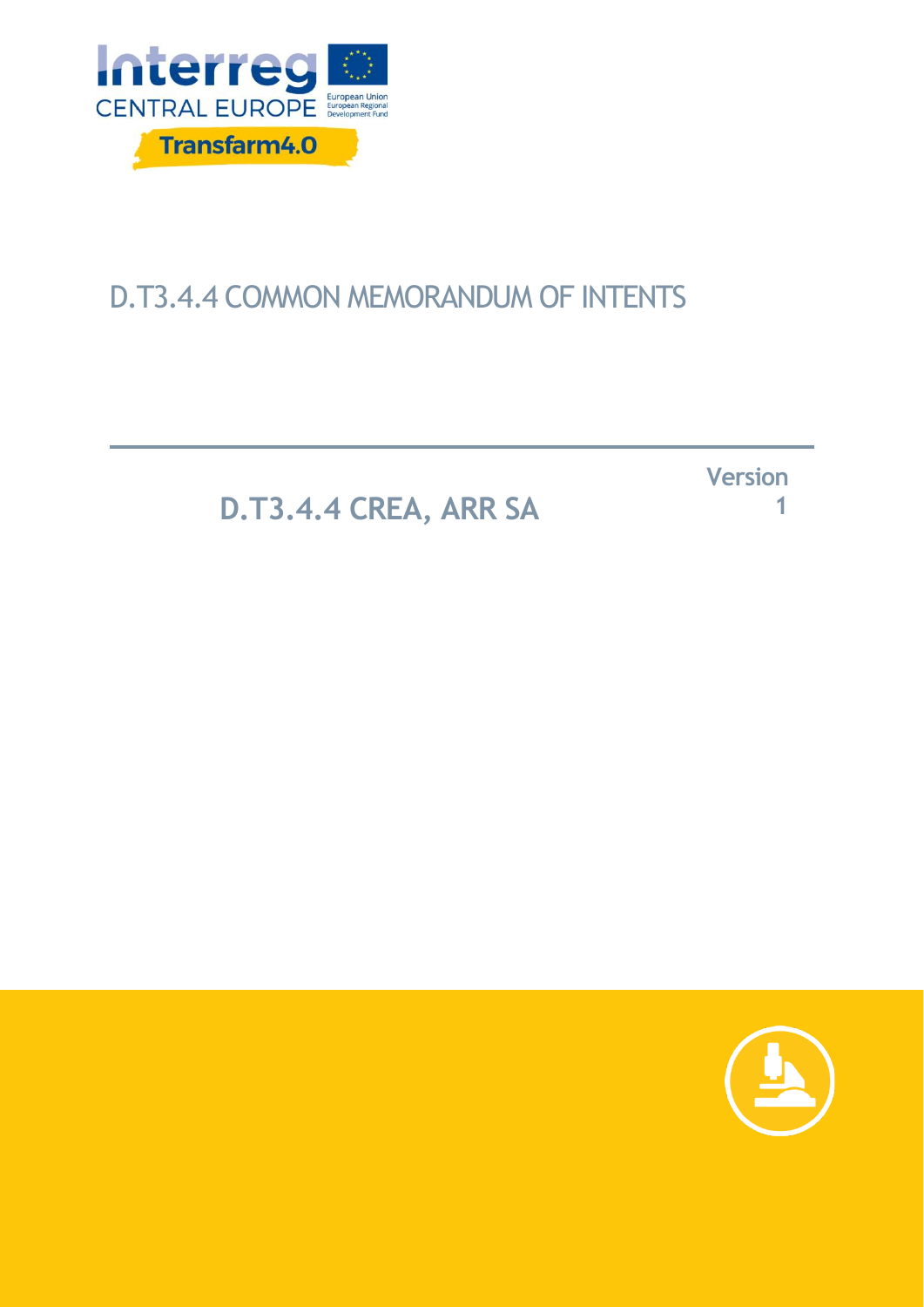

# D.T3.4.4 COMMON MEMORANDUM OF INTENTS

**D.T3.4.4 CREA, ARR SA** 

**Version 1**

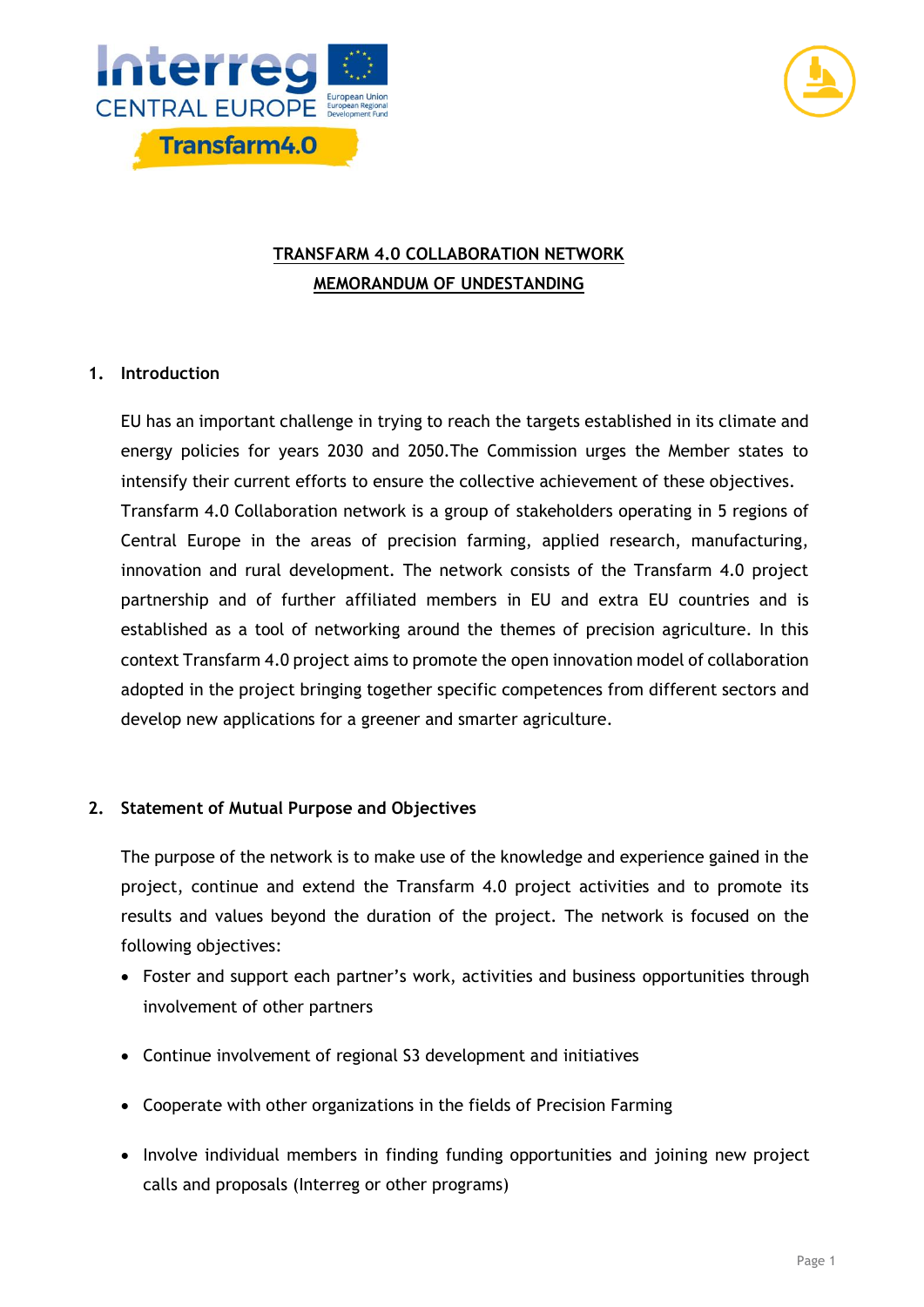



## **TRANSFARM 4.0 COLLABORATION NETWORK MEMORANDUM OF UNDESTANDING**

### **1. Introduction**

EU has an important challenge in trying to reach the targets established in its climate and energy policies for years 2030 and 2050.The Commission urges the Member states to intensify their current efforts to ensure the collective achievement of these objectives. Transfarm 4.0 Collaboration network is a group of stakeholders operating in 5 regions of Central Europe in the areas of precision farming, applied research, manufacturing, innovation and rural development. The network consists of the Transfarm 4.0 project partnership and of further affiliated members in EU and extra EU countries and is established as a tool of networking around the themes of precision agriculture. In this context Transfarm 4.0 project aims to promote the open innovation model of collaboration adopted in the project bringing together specific competences from different sectors and develop new applications for a greener and smarter agriculture.

#### **2. Statement of Mutual Purpose and Objectives**

The purpose of the network is to make use of the knowledge and experience gained in the project, continue and extend the Transfarm 4.0 project activities and to promote its results and values beyond the duration of the project. The network is focused on the following objectives:

- Foster and support each partner's work, activities and business opportunities through involvement of other partners
- Continue involvement of regional S3 development and initiatives
- Cooperate with other organizations in the fields of Precision Farming
- Involve individual members in finding funding opportunities and joining new project calls and proposals (Interreg or other programs)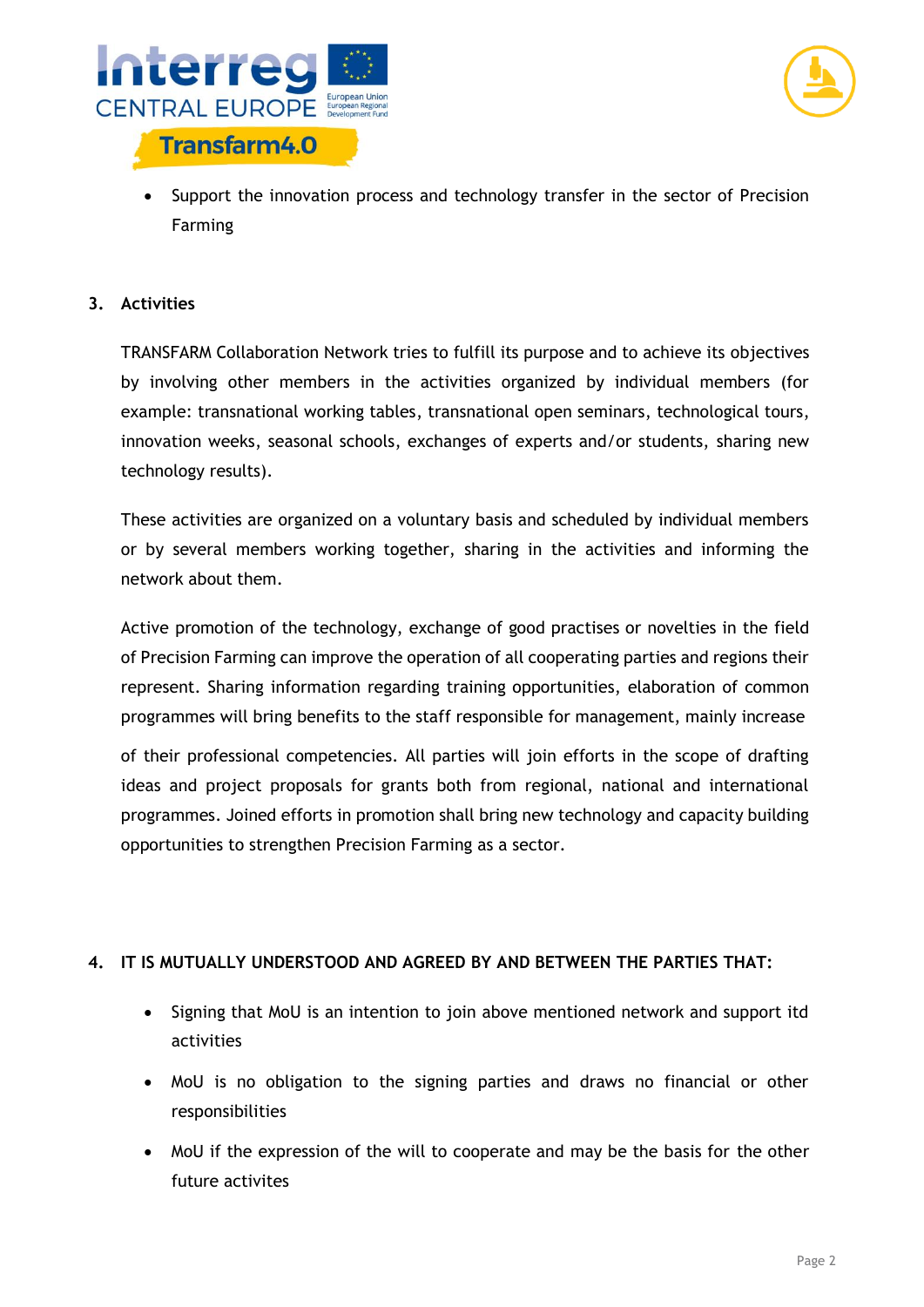



• Support the innovation process and technology transfer in the sector of Precision Farming

#### **3. Activities**

TRANSFARM Collaboration Network tries to fulfill its purpose and to achieve its objectives by involving other members in the activities organized by individual members (for example: transnational working tables, transnational open seminars, technological tours, innovation weeks, seasonal schools, exchanges of experts and/or students, sharing new technology results).

These activities are organized on a voluntary basis and scheduled by individual members or by several members working together, sharing in the activities and informing the network about them.

Active promotion of the technology, exchange of good practises or novelties in the field of Precision Farming can improve the operation of all cooperating parties and regions their represent. Sharing information regarding training opportunities, elaboration of common programmes will bring benefits to the staff responsible for management, mainly increase

of their professional competencies. All parties will join efforts in the scope of drafting ideas and project proposals for grants both from regional, national and international programmes. Joined efforts in promotion shall bring new technology and capacity building opportunities to strengthen Precision Farming as a sector.

#### **4. IT IS MUTUALLY UNDERSTOOD AND AGREED BY AND BETWEEN THE PARTIES THAT:**

- Signing that MoU is an intention to join above mentioned network and support itd activities
- MoU is no obligation to the signing parties and draws no financial or other responsibilities
- MoU if the expression of the will to cooperate and may be the basis for the other future activites